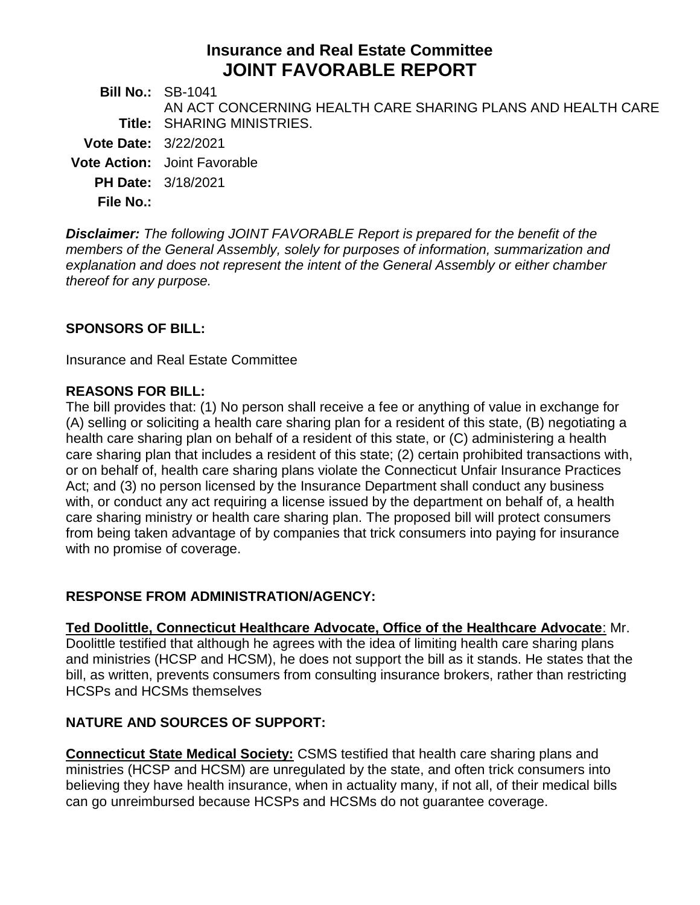# **Insurance and Real Estate Committee JOINT FAVORABLE REPORT**

**Bill No.:** SB-1041 **Title:** SHARING MINISTRIES. AN ACT CONCERNING HEALTH CARE SHARING PLANS AND HEALTH CARE **Vote Date:** 3/22/2021 **Vote Action:** Joint Favorable **PH Date:** 3/18/2021 **File No.:**

*Disclaimer: The following JOINT FAVORABLE Report is prepared for the benefit of the members of the General Assembly, solely for purposes of information, summarization and explanation and does not represent the intent of the General Assembly or either chamber thereof for any purpose.*

## **SPONSORS OF BILL:**

Insurance and Real Estate Committee

#### **REASONS FOR BILL:**

The bill provides that: (1) No person shall receive a fee or anything of value in exchange for (A) selling or soliciting a health care sharing plan for a resident of this state, (B) negotiating a health care sharing plan on behalf of a resident of this state, or (C) administering a health care sharing plan that includes a resident of this state; (2) certain prohibited transactions with, or on behalf of, health care sharing plans violate the Connecticut Unfair Insurance Practices Act; and (3) no person licensed by the Insurance Department shall conduct any business with, or conduct any act requiring a license issued by the department on behalf of, a health care sharing ministry or health care sharing plan. The proposed bill will protect consumers from being taken advantage of by companies that trick consumers into paying for insurance with no promise of coverage.

#### **RESPONSE FROM ADMINISTRATION/AGENCY:**

**Ted Doolittle, Connecticut Healthcare Advocate, Office of the Healthcare Advocate**: Mr. Doolittle testified that although he agrees with the idea of limiting health care sharing plans and ministries (HCSP and HCSM), he does not support the bill as it stands. He states that the bill, as written, prevents consumers from consulting insurance brokers, rather than restricting HCSPs and HCSMs themselves

## **NATURE AND SOURCES OF SUPPORT:**

**Connecticut State Medical Society:** CSMS testified that health care sharing plans and ministries (HCSP and HCSM) are unregulated by the state, and often trick consumers into believing they have health insurance, when in actuality many, if not all, of their medical bills can go unreimbursed because HCSPs and HCSMs do not guarantee coverage.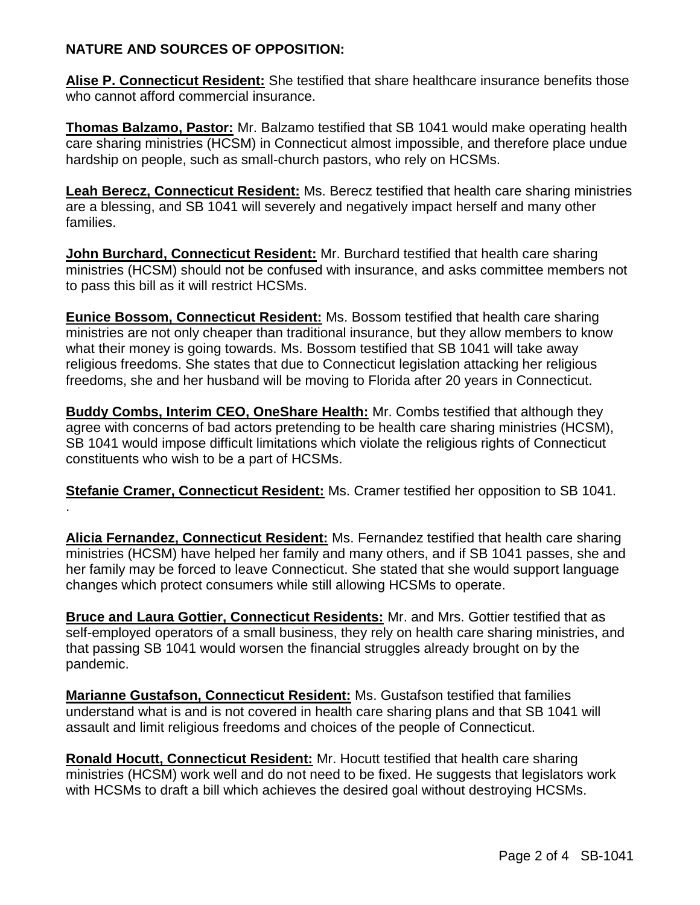## **NATURE AND SOURCES OF OPPOSITION:**

.

**Alise P. Connecticut Resident:** She testified that share healthcare insurance benefits those who cannot afford commercial insurance.

**Thomas Balzamo, Pastor:** Mr. Balzamo testified that SB 1041 would make operating health care sharing ministries (HCSM) in Connecticut almost impossible, and therefore place undue hardship on people, such as small-church pastors, who rely on HCSMs.

**Leah Berecz, Connecticut Resident:** Ms. Berecz testified that health care sharing ministries are a blessing, and SB 1041 will severely and negatively impact herself and many other families.

**John Burchard, Connecticut Resident:** Mr. Burchard testified that health care sharing ministries (HCSM) should not be confused with insurance, and asks committee members not to pass this bill as it will restrict HCSMs.

**Eunice Bossom, Connecticut Resident:** Ms. Bossom testified that health care sharing ministries are not only cheaper than traditional insurance, but they allow members to know what their money is going towards. Ms. Bossom testified that SB 1041 will take away religious freedoms. She states that due to Connecticut legislation attacking her religious freedoms, she and her husband will be moving to Florida after 20 years in Connecticut.

**Buddy Combs, Interim CEO, OneShare Health:** Mr. Combs testified that although they agree with concerns of bad actors pretending to be health care sharing ministries (HCSM), SB 1041 would impose difficult limitations which violate the religious rights of Connecticut constituents who wish to be a part of HCSMs.

**Stefanie Cramer, Connecticut Resident:** Ms. Cramer testified her opposition to SB 1041.

**Alicia Fernandez, Connecticut Resident:** Ms. Fernandez testified that health care sharing ministries (HCSM) have helped her family and many others, and if SB 1041 passes, she and her family may be forced to leave Connecticut. She stated that she would support language changes which protect consumers while still allowing HCSMs to operate.

**Bruce and Laura Gottier, Connecticut Residents:** Mr. and Mrs. Gottier testified that as self-employed operators of a small business, they rely on health care sharing ministries, and that passing SB 1041 would worsen the financial struggles already brought on by the pandemic.

**Marianne Gustafson, Connecticut Resident:** Ms. Gustafson testified that families understand what is and is not covered in health care sharing plans and that SB 1041 will assault and limit religious freedoms and choices of the people of Connecticut.

**Ronald Hocutt, Connecticut Resident:** Mr. Hocutt testified that health care sharing ministries (HCSM) work well and do not need to be fixed. He suggests that legislators work with HCSMs to draft a bill which achieves the desired goal without destroying HCSMs.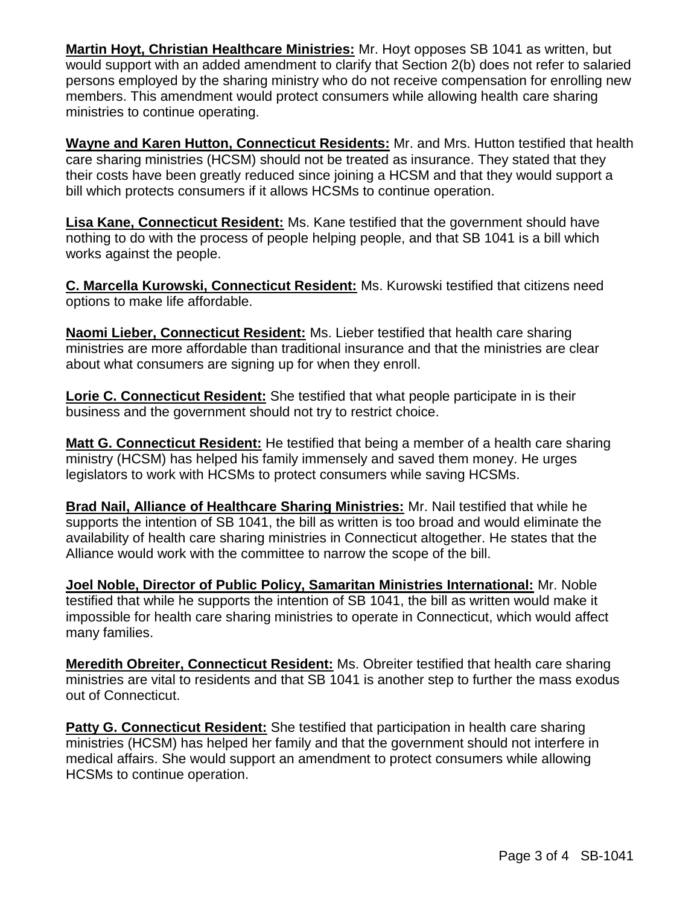**Martin Hoyt, Christian Healthcare Ministries:** Mr. Hoyt opposes SB 1041 as written, but would support with an added amendment to clarify that Section 2(b) does not refer to salaried persons employed by the sharing ministry who do not receive compensation for enrolling new members. This amendment would protect consumers while allowing health care sharing ministries to continue operating.

**Wayne and Karen Hutton, Connecticut Residents:** Mr. and Mrs. Hutton testified that health care sharing ministries (HCSM) should not be treated as insurance. They stated that they their costs have been greatly reduced since joining a HCSM and that they would support a bill which protects consumers if it allows HCSMs to continue operation.

**Lisa Kane, Connecticut Resident:** Ms. Kane testified that the government should have nothing to do with the process of people helping people, and that SB 1041 is a bill which works against the people.

**C. Marcella Kurowski, Connecticut Resident:** Ms. Kurowski testified that citizens need options to make life affordable.

**Naomi Lieber, Connecticut Resident:** Ms. Lieber testified that health care sharing ministries are more affordable than traditional insurance and that the ministries are clear about what consumers are signing up for when they enroll.

**Lorie C. Connecticut Resident:** She testified that what people participate in is their business and the government should not try to restrict choice.

**Matt G. Connecticut Resident:** He testified that being a member of a health care sharing ministry (HCSM) has helped his family immensely and saved them money. He urges legislators to work with HCSMs to protect consumers while saving HCSMs.

**Brad Nail, Alliance of Healthcare Sharing Ministries:** Mr. Nail testified that while he supports the intention of SB 1041, the bill as written is too broad and would eliminate the availability of health care sharing ministries in Connecticut altogether. He states that the Alliance would work with the committee to narrow the scope of the bill.

**Joel Noble, Director of Public Policy, Samaritan Ministries International:** Mr. Noble testified that while he supports the intention of SB 1041, the bill as written would make it impossible for health care sharing ministries to operate in Connecticut, which would affect many families.

**Meredith Obreiter, Connecticut Resident:** Ms. Obreiter testified that health care sharing ministries are vital to residents and that SB 1041 is another step to further the mass exodus out of Connecticut.

**Patty G. Connecticut Resident:** She testified that participation in health care sharing ministries (HCSM) has helped her family and that the government should not interfere in medical affairs. She would support an amendment to protect consumers while allowing HCSMs to continue operation.